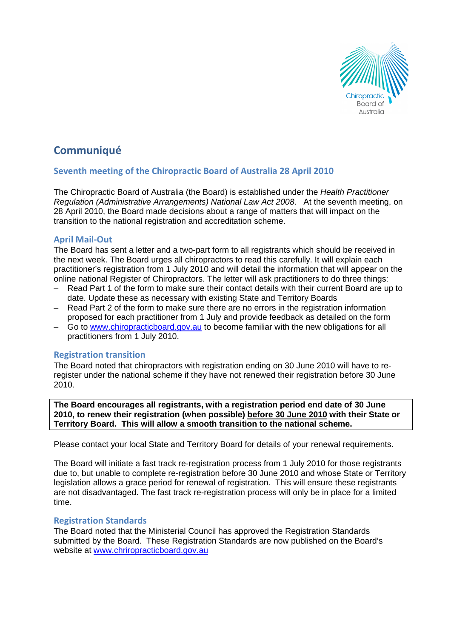

# **Communiqué**

# Seventh meeting of the Chiropractic Board of Australia 28 April 2010

The Chiropractic Board of Australia (the Board) is established under the Health Practitioner Regulation (Administrative Arrangements) National Law Act 2008. At the seventh meeting, on 28 April 2010, the Board made decisions about a range of matters that will impact on the transition to the national registration and accreditation scheme.

# April Mail-Out

The Board has sent a letter and a two-part form to all registrants which should be received in the next week. The Board urges all chiropractors to read this carefully. It will explain each practitioner's registration from 1 July 2010 and will detail the information that will appear on the online national Register of Chiropractors. The letter will ask practitioners to do three things:

- Read Part 1 of the form to make sure their contact details with their current Board are up to date. Update these as necessary with existing State and Territory Boards
- Read Part 2 of the form to make sure there are no errors in the registration information proposed for each practitioner from 1 July and provide feedback as detailed on the form
- Go to www.chiropracticboard.gov.au to become familiar with the new obligations for all practitioners from 1 July 2010.

## Registration transition

The Board noted that chiropractors with registration ending on 30 June 2010 will have to reregister under the national scheme if they have not renewed their registration before 30 June 2010.

**The Board encourages all registrants, with a registration period end date of 30 June 2010, to renew their registration (when possible) before 30 June 2010 with their State or Territory Board. This will allow a smooth transition to the national scheme.** 

Please contact your local State and Territory Board for details of your renewal requirements.

The Board will initiate a fast track re-registration process from 1 July 2010 for those registrants due to, but unable to complete re-registration before 30 June 2010 and whose State or Territory legislation allows a grace period for renewal of registration. This will ensure these registrants are not disadvantaged. The fast track re-registration process will only be in place for a limited time.

#### Registration Standards

The Board noted that the Ministerial Council has approved the Registration Standards submitted by the Board. These Registration Standards are now published on the Board's website at www.chriropracticboard.gov.au